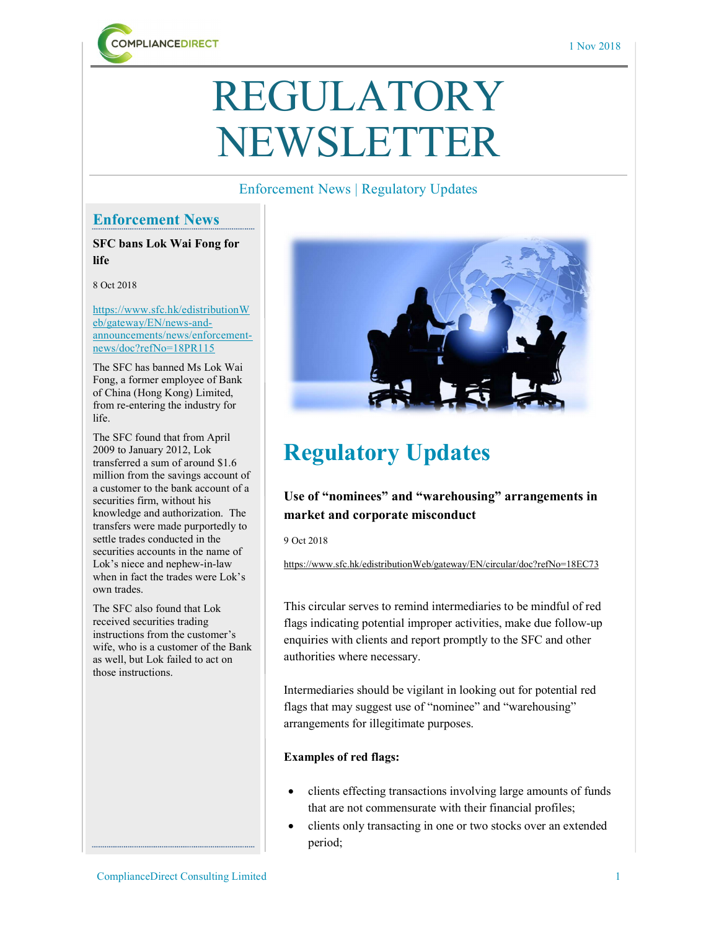

# REGULATORY NEWSLETTER

### Enforcement News | Regulatory Updates

## Enforcement News

SFC bans Lok Wai Fong for life

#### 8 Oct 2018

https://www.sfc.hk/edistributionW eb/gateway/EN/news-andannouncements/news/enforcementnews/doc?refNo=18PR115

The SFC has banned Ms Lok Wai Fong, a former employee of Bank of China (Hong Kong) Limited, from re-entering the industry for life.

The SFC found that from April 2009 to January 2012, Lok transferred a sum of around \$1.6 million from the savings account of a customer to the bank account of a securities firm, without his knowledge and authorization. The transfers were made purportedly to settle trades conducted in the securities accounts in the name of Lok's niece and nephew-in-law when in fact the trades were Lok's own trades.

The SFC also found that Lok received securities trading instructions from the customer's wife, who is a customer of the Bank as well, but Lok failed to act on those instructions.



# Regulatory Updates

# Use of "nominees" and "warehousing" arrangements in market and corporate misconduct

9 Oct 2018

https://www.sfc.hk/edistributionWeb/gateway/EN/circular/doc?refNo=18EC73

This circular serves to remind intermediaries to be mindful of red flags indicating potential improper activities, make due follow-up enquiries with clients and report promptly to the SFC and other authorities where necessary.

Intermediaries should be vigilant in looking out for potential red flags that may suggest use of "nominee" and "warehousing" arrangements for illegitimate purposes.

### Examples of red flags:

- clients effecting transactions involving large amounts of funds that are not commensurate with their financial profiles;
- clients only transacting in one or two stocks over an extended period;